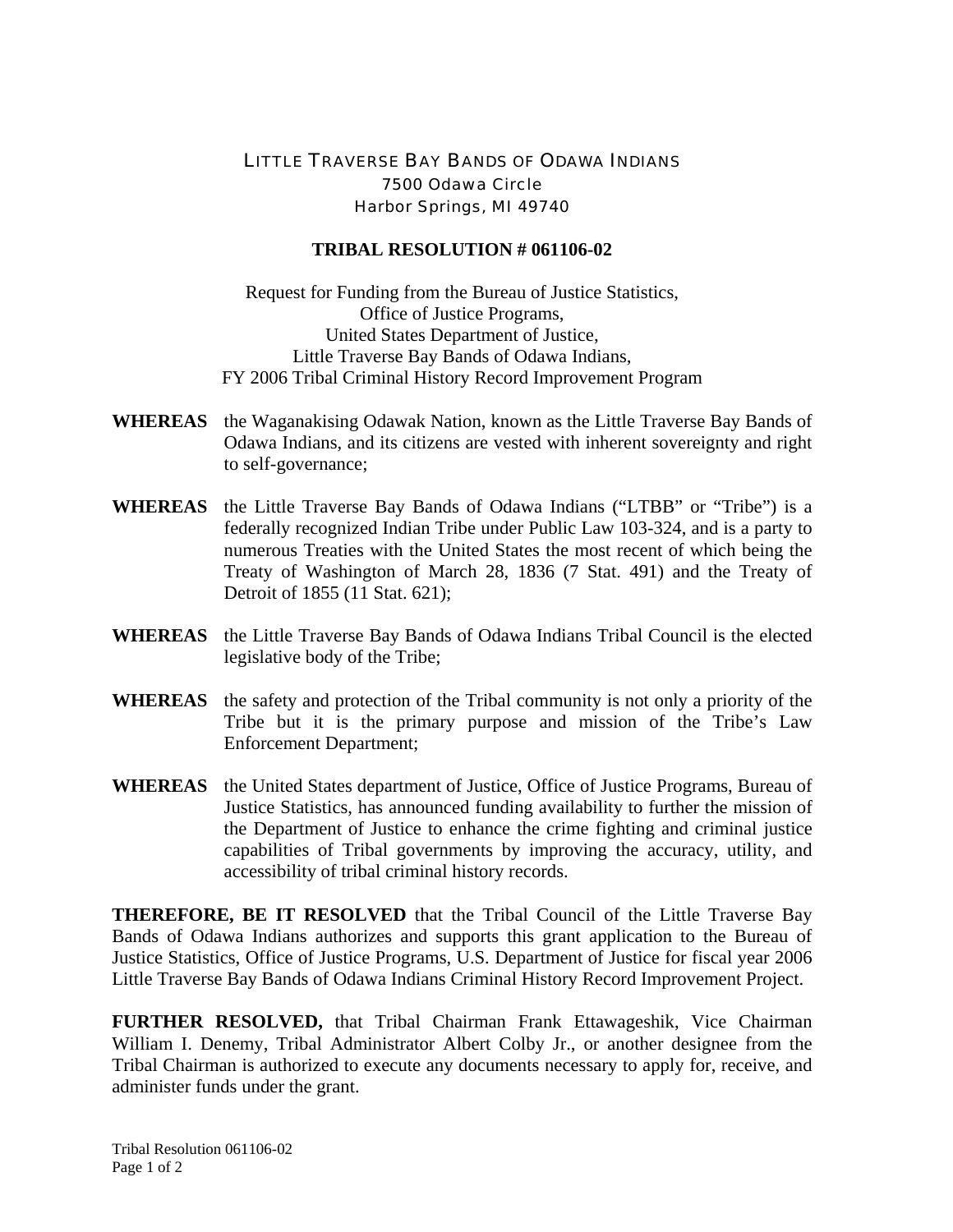## LITTLE TRAVERSE BAY BANDS OF ODAWA INDIANS 7500 Odawa Circle Harbor Springs, MI 49740

## **TRIBAL RESOLUTION # 061106-02**

Request for Funding from the Bureau of Justice Statistics, Office of Justice Programs, United States Department of Justice, Little Traverse Bay Bands of Odawa Indians, FY 2006 Tribal Criminal History Record Improvement Program

- **WHEREAS** the Waganakising Odawak Nation, known as the Little Traverse Bay Bands of Odawa Indians, and its citizens are vested with inherent sovereignty and right to self-governance;
- **WHEREAS** the Little Traverse Bay Bands of Odawa Indians ("LTBB" or "Tribe") is a federally recognized Indian Tribe under Public Law 103-324, and is a party to numerous Treaties with the United States the most recent of which being the Treaty of Washington of March 28, 1836 (7 Stat. 491) and the Treaty of Detroit of 1855 (11 Stat. 621);
- **WHEREAS** the Little Traverse Bay Bands of Odawa Indians Tribal Council is the elected legislative body of the Tribe;
- **WHEREAS** the safety and protection of the Tribal community is not only a priority of the Tribe but it is the primary purpose and mission of the Tribe's Law Enforcement Department;
- **WHEREAS** the United States department of Justice, Office of Justice Programs, Bureau of Justice Statistics, has announced funding availability to further the mission of the Department of Justice to enhance the crime fighting and criminal justice capabilities of Tribal governments by improving the accuracy, utility, and accessibility of tribal criminal history records.

**THEREFORE, BE IT RESOLVED** that the Tribal Council of the Little Traverse Bay Bands of Odawa Indians authorizes and supports this grant application to the Bureau of Justice Statistics, Office of Justice Programs, U.S. Department of Justice for fiscal year 2006 Little Traverse Bay Bands of Odawa Indians Criminal History Record Improvement Project.

**FURTHER RESOLVED,** that Tribal Chairman Frank Ettawageshik, Vice Chairman William I. Denemy, Tribal Administrator Albert Colby Jr., or another designee from the Tribal Chairman is authorized to execute any documents necessary to apply for, receive, and administer funds under the grant.